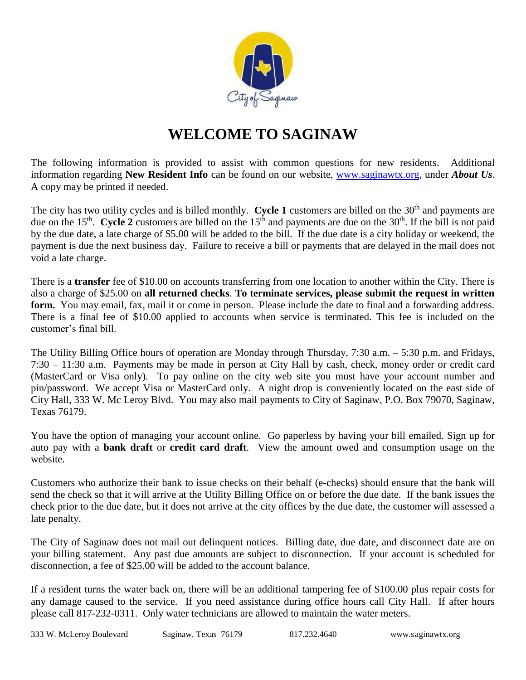

## **WELCOME TO SAGINAW**

The following information is provided to assist with common questions for new residents. Additional information regarding **New Resident Info** can be found on our website, [www.saginawtx.org,](http://www.saginawtx.org/) under *About Us*. A copy may be printed if needed.

The city has two utility cycles and is billed monthly. **Cycle 1** customers are billed on the 30<sup>th</sup> and payments are due on the 15<sup>th</sup>. Cycle 2 customers are billed on the 15<sup>th</sup> and payments are due on the 30<sup>th</sup>. If the bill is not paid by the due date, a late charge of \$5.00 will be added to the bill. If the due date is a city holiday or weekend, the payment is due the next business day. Failure to receive a bill or payments that are delayed in the mail does not void a late charge.

There is a **transfer** fee of \$10.00 on accounts transferring from one location to another within the City. There is also a charge of \$25.00 on **all returned checks**. **To terminate services, please submit the request in written form.** You may email, fax, mail it or come in person. Please include the date to final and a forwarding address. There is a final fee of \$10.00 applied to accounts when service is terminated. This fee is included on the customer's final bill.

The Utility Billing Office hours of operation are Monday through Thursday, 7:30 a.m. – 5:30 p.m. and Fridays, 7:30 – 11:30 a.m. Payments may be made in person at City Hall by cash, check, money order or credit card (MasterCard or Visa only). To pay online on the city web site you must have your account number and pin/password. We accept Visa or MasterCard only. A night drop is conveniently located on the east side of City Hall, 333 W. Mc Leroy Blvd. You may also mail payments to City of Saginaw, P.O. Box 79070, Saginaw, Texas 76179.

You have the option of managing your account online. Go paperless by having your bill emailed. Sign up for auto pay with a **bank draft** or **credit card draft**. View the amount owed and consumption usage on the website.

Customers who authorize their bank to issue checks on their behalf (e-checks) should ensure that the bank will send the check so that it will arrive at the Utility Billing Office on or before the due date. If the bank issues the check prior to the due date, but it does not arrive at the city offices by the due date, the customer will assessed a late penalty.

The City of Saginaw does not mail out delinquent notices. Billing date, due date, and disconnect date are on your billing statement. Any past due amounts are subject to disconnection. If your account is scheduled for disconnection, a fee of \$25.00 will be added to the account balance.

If a resident turns the water back on, there will be an additional tampering fee of \$100.00 plus repair costs for any damage caused to the service. If you need assistance during office hours call City Hall. If after hours please call 817-232-0311. Only water technicians are allowed to maintain the water meters.

333 W. McLeroy Boulevard Saginaw, Texas 76179 817.232.4640 www.saginawtx.org